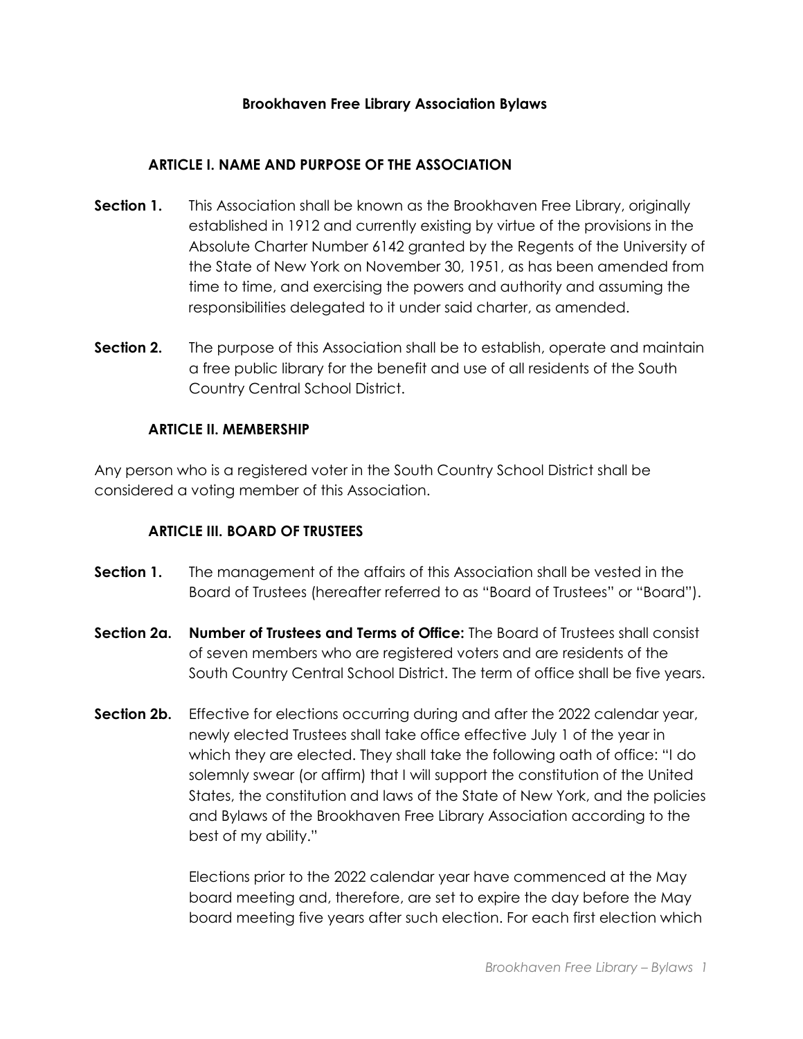#### **ARTICLE I. NAME AND PURPOSE OF THE ASSOCIATION**

- **Section 1.** This Association shall be known as the Brookhaven Free Library, originally established in 1912 and currently existing by virtue of the provisions in the Absolute Charter Number 6142 granted by the Regents of the University of the State of New York on November 30, 1951, as has been amended from time to time, and exercising the powers and authority and assuming the responsibilities delegated to it under said charter, as amended.
- **Section 2.** The purpose of this Association shall be to establish, operate and maintain a free public library for the benefit and use of all residents of the South Country Central School District.

### **ARTICLE II. MEMBERSHIP**

Any person who is a registered voter in the South Country School District shall be considered a voting member of this Association.

#### **ARTICLE III. BOARD OF TRUSTEES**

- **Section 1.** The management of the affairs of this Association shall be vested in the Board of Trustees (hereafter referred to as "Board of Trustees" or "Board").
- **Section 2a. Number of Trustees and Terms of Office:** The Board of Trustees shall consist of seven members who are registered voters and are residents of the South Country Central School District. The term of office shall be five years.
- **Section 2b.** Effective for elections occurring during and after the 2022 calendar year, newly elected Trustees shall take office effective July 1 of the year in which they are elected. They shall take the following oath of office: "I do solemnly swear (or affirm) that I will support the constitution of the United States, the constitution and laws of the State of New York, and the policies and Bylaws of the Brookhaven Free Library Association according to the best of my ability."

Elections prior to the 2022 calendar year have commenced at the May board meeting and, therefore, are set to expire the day before the May board meeting five years after such election. For each first election which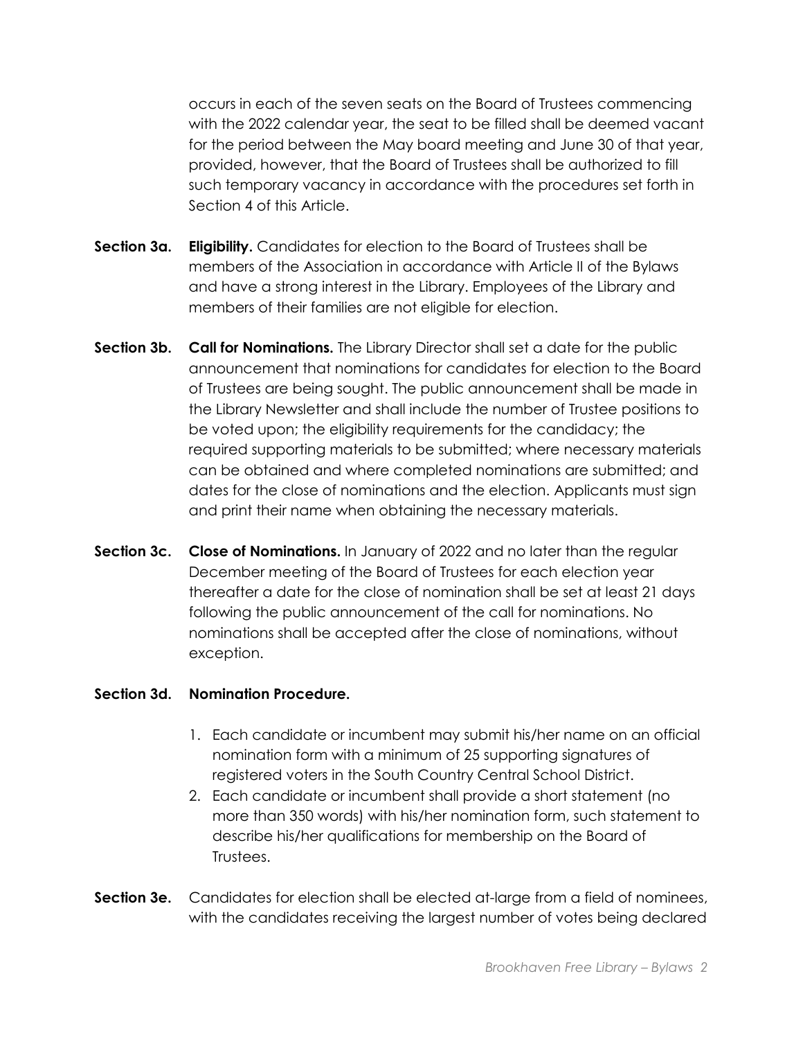occurs in each of the seven seats on the Board of Trustees commencing with the 2022 calendar year, the seat to be filled shall be deemed vacant for the period between the May board meeting and June 30 of that year, provided, however, that the Board of Trustees shall be authorized to fill such temporary vacancy in accordance with the procedures set forth in Section 4 of this Article.

- **Section 3a. Eligibility.** Candidates for election to the Board of Trustees shall be members of the Association in accordance with Article II of the Bylaws and have a strong interest in the Library. Employees of the Library and members of their families are not eligible for election.
- **Section 3b. Call for Nominations.** The Library Director shall set a date for the public announcement that nominations for candidates for election to the Board of Trustees are being sought. The public announcement shall be made in the Library Newsletter and shall include the number of Trustee positions to be voted upon; the eligibility requirements for the candidacy; the required supporting materials to be submitted; where necessary materials can be obtained and where completed nominations are submitted; and dates for the close of nominations and the election. Applicants must sign and print their name when obtaining the necessary materials.
- **Section 3c. Close of Nominations.** In January of 2022 and no later than the regular December meeting of the Board of Trustees for each election year thereafter a date for the close of nomination shall be set at least 21 days following the public announcement of the call for nominations. No nominations shall be accepted after the close of nominations, without exception.

#### **Section 3d. Nomination Procedure.**

- 1. Each candidate or incumbent may submit his/her name on an official nomination form with a minimum of 25 supporting signatures of registered voters in the South Country Central School District.
- 2. Each candidate or incumbent shall provide a short statement (no more than 350 words) with his/her nomination form, such statement to describe his/her qualifications for membership on the Board of Trustees.
- **Section 3e.** Candidates for election shall be elected at-large from a field of nominees, with the candidates receiving the largest number of votes being declared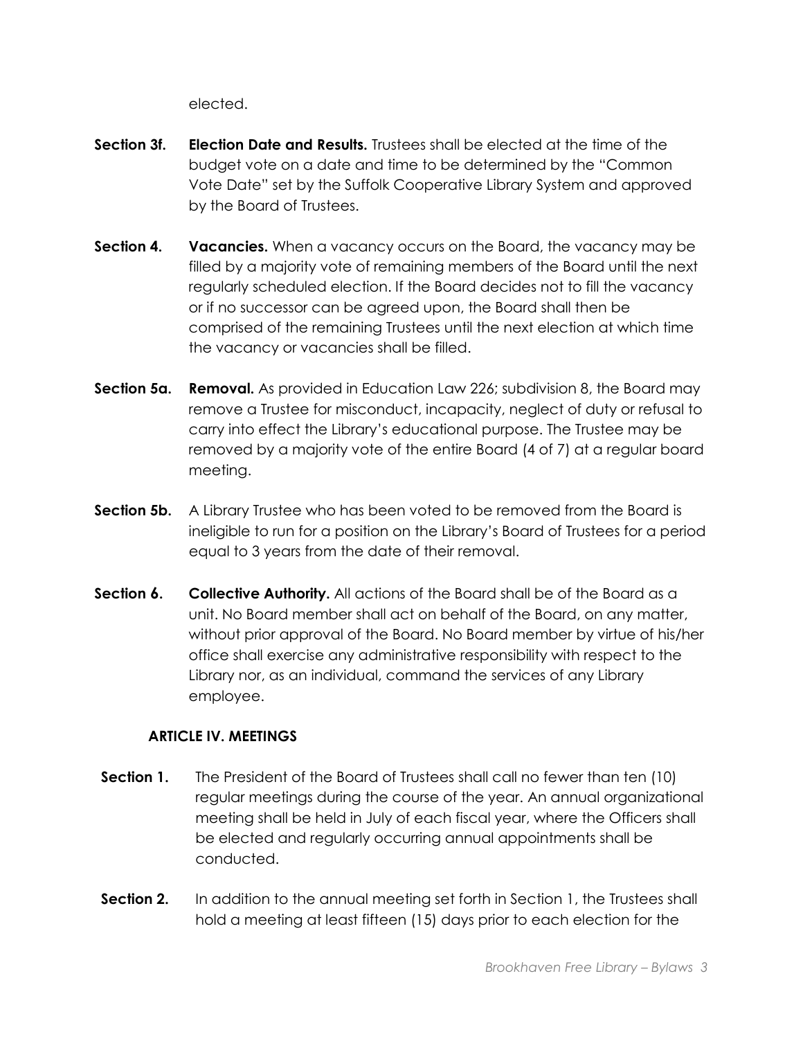elected.

- **Section 3f. Election Date and Results.** Trustees shall be elected at the time of the budget vote on a date and time to be determined by the "Common Vote Date" set by the Suffolk Cooperative Library System and approved by the Board of Trustees.
- **Section 4. Vacancies.** When a vacancy occurs on the Board, the vacancy may be filled by a majority vote of remaining members of the Board until the next regularly scheduled election. If the Board decides not to fill the vacancy or if no successor can be agreed upon, the Board shall then be comprised of the remaining Trustees until the next election at which time the vacancy or vacancies shall be filled.
- **Section 5a. Removal.** As provided in Education Law 226; subdivision 8, the Board may remove a Trustee for misconduct, incapacity, neglect of duty or refusal to carry into effect the Library's educational purpose. The Trustee may be removed by a majority vote of the entire Board (4 of 7) at a regular board meeting.
- **Section 5b.** A Library Trustee who has been voted to be removed from the Board is ineligible to run for a position on the Library's Board of Trustees for a period equal to 3 years from the date of their removal.
- **Section 6.** Collective Authority. All actions of the Board shall be of the Board as a unit. No Board member shall act on behalf of the Board, on any matter, without prior approval of the Board. No Board member by virtue of his/her office shall exercise any administrative responsibility with respect to the Library nor, as an individual, command the services of any Library employee.

## **ARTICLE IV. MEETINGS**

- **Section 1.** The President of the Board of Trustees shall call no fewer than ten (10) regular meetings during the course of the year. An annual organizational meeting shall be held in July of each fiscal year, where the Officers shall be elected and regularly occurring annual appointments shall be conducted.
- **Section 2.** In addition to the annual meeting set forth in Section 1, the Trustees shall hold a meeting at least fifteen (15) days prior to each election for the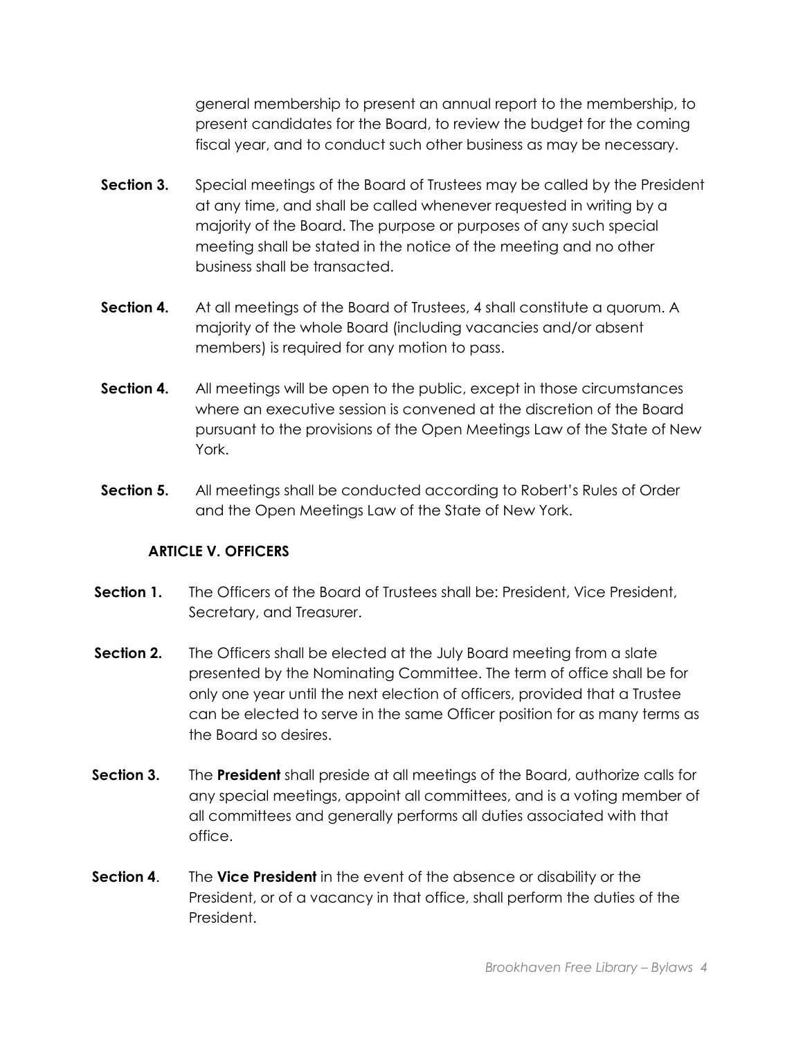general membership to present an annual report to the membership, to present candidates for the Board, to review the budget for the coming fiscal year, and to conduct such other business as may be necessary.

- **Section 3.** Special meetings of the Board of Trustees may be called by the President at any time, and shall be called whenever requested in writing by a majority of the Board. The purpose or purposes of any such special meeting shall be stated in the notice of the meeting and no other business shall be transacted.
- **Section 4.** At all meetings of the Board of Trustees, 4 shall constitute a quorum. A majority of the whole Board (including vacancies and/or absent members) is required for any motion to pass.
- **Section 4.** All meetings will be open to the public, except in those circumstances where an executive session is convened at the discretion of the Board pursuant to the provisions of the Open Meetings Law of the State of New York.
- **Section 5.** All meetings shall be conducted according to Robert's Rules of Order and the Open Meetings Law of the State of New York.

## **ARTICLE V. OFFICERS**

- **Section 1.** The Officers of the Board of Trustees shall be: President, Vice President, Secretary, and Treasurer.
- **Section 2.** The Officers shall be elected at the July Board meeting from a slate presented by the Nominating Committee. The term of office shall be for only one year until the next election of officers, provided that a Trustee can be elected to serve in the same Officer position for as many terms as the Board so desires.
- **Section 3.** The **President** shall preside at all meetings of the Board, authorize calls for any special meetings, appoint all committees, and is a voting member of all committees and generally performs all duties associated with that office.
- **Section 4**. The **Vice President** in the event of the absence or disability or the President, or of a vacancy in that office, shall perform the duties of the President.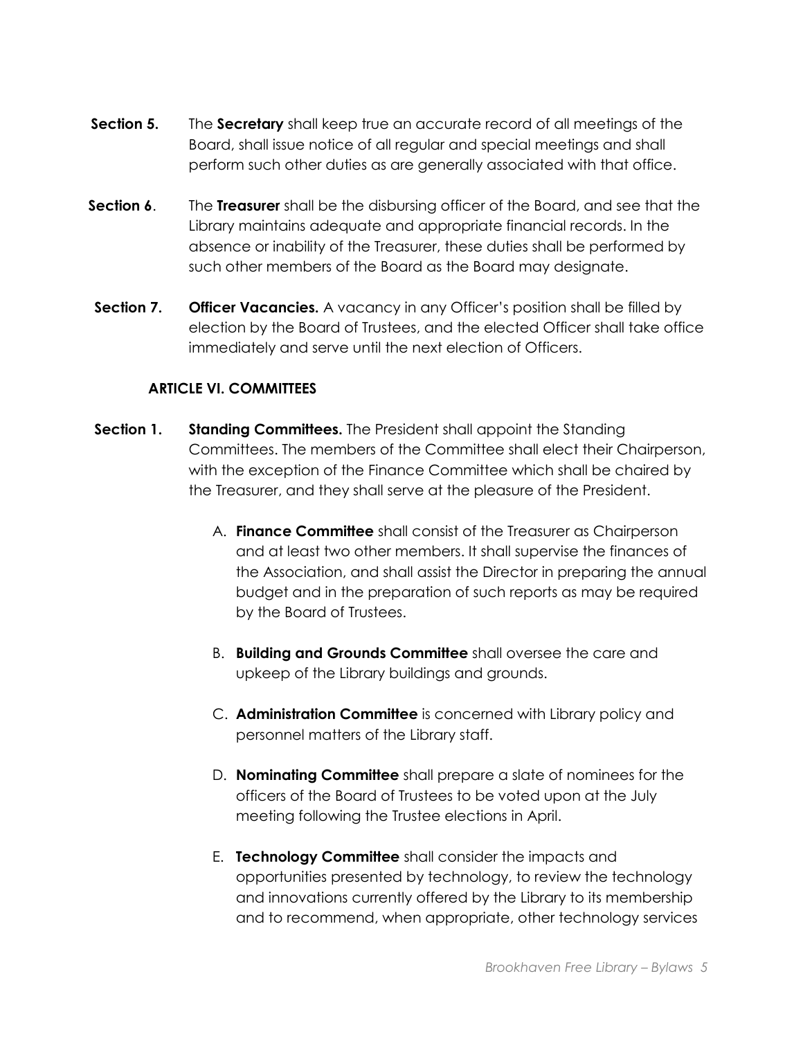- **Section 5.** The **Secretary** shall keep true an accurate record of all meetings of the Board, shall issue notice of all regular and special meetings and shall perform such other duties as are generally associated with that office.
- **Section 6**. The **Treasurer** shall be the disbursing officer of the Board, and see that the Library maintains adequate and appropriate financial records. In the absence or inability of the Treasurer, these duties shall be performed by such other members of the Board as the Board may designate.
- **Section 7. Officer Vacancies.** A vacancy in any Officer's position shall be filled by election by the Board of Trustees, and the elected Officer shall take office immediately and serve until the next election of Officers.

### **ARTICLE VI. COMMITTEES**

- **Section 1.** Standing Committees. The President shall appoint the Standing Committees. The members of the Committee shall elect their Chairperson, with the exception of the Finance Committee which shall be chaired by the Treasurer, and they shall serve at the pleasure of the President.
	- A. **Finance Committee** shall consist of the Treasurer as Chairperson and at least two other members. It shall supervise the finances of the Association, and shall assist the Director in preparing the annual budget and in the preparation of such reports as may be required by the Board of Trustees.
	- B. **Building and Grounds Committee** shall oversee the care and upkeep of the Library buildings and grounds.
	- C. **Administration Committee** is concerned with Library policy and personnel matters of the Library staff.
	- D. **Nominating Committee** shall prepare a slate of nominees for the officers of the Board of Trustees to be voted upon at the July meeting following the Trustee elections in April.
	- E. **Technology Committee** shall consider the impacts and opportunities presented by technology, to review the technology and innovations currently offered by the Library to its membership and to recommend, when appropriate, other technology services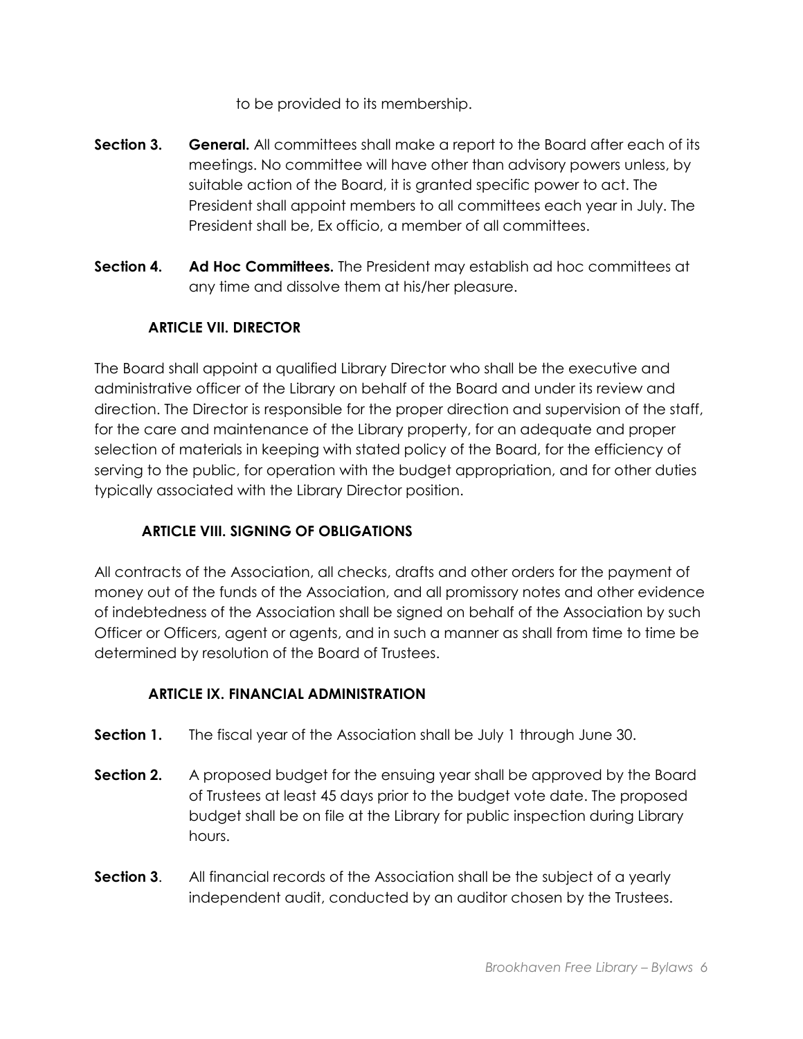to be provided to its membership.

- **Section 3.** General. All committees shall make a report to the Board after each of its meetings. No committee will have other than advisory powers unless, by suitable action of the Board, it is granted specific power to act. The President shall appoint members to all committees each year in July. The President shall be, Ex officio, a member of all committees.
- **Section 4. Ad Hoc Committees.** The President may establish ad hoc committees at any time and dissolve them at his/her pleasure.

# **ARTICLE VII. DIRECTOR**

The Board shall appoint a qualified Library Director who shall be the executive and administrative officer of the Library on behalf of the Board and under its review and direction. The Director is responsible for the proper direction and supervision of the staff, for the care and maintenance of the Library property, for an adequate and proper selection of materials in keeping with stated policy of the Board, for the efficiency of serving to the public, for operation with the budget appropriation, and for other duties typically associated with the Library Director position.

# **ARTICLE VIII. SIGNING OF OBLIGATIONS**

All contracts of the Association, all checks, drafts and other orders for the payment of money out of the funds of the Association, and all promissory notes and other evidence of indebtedness of the Association shall be signed on behalf of the Association by such Officer or Officers, agent or agents, and in such a manner as shall from time to time be determined by resolution of the Board of Trustees.

# **ARTICLE IX. FINANCIAL ADMINISTRATION**

- **Section 1.** The fiscal year of the Association shall be July 1 through June 30.
- **Section 2.** A proposed budget for the ensuing year shall be approved by the Board of Trustees at least 45 days prior to the budget vote date. The proposed budget shall be on file at the Library for public inspection during Library hours.
- **Section 3.** All financial records of the Association shall be the subject of a yearly independent audit, conducted by an auditor chosen by the Trustees.